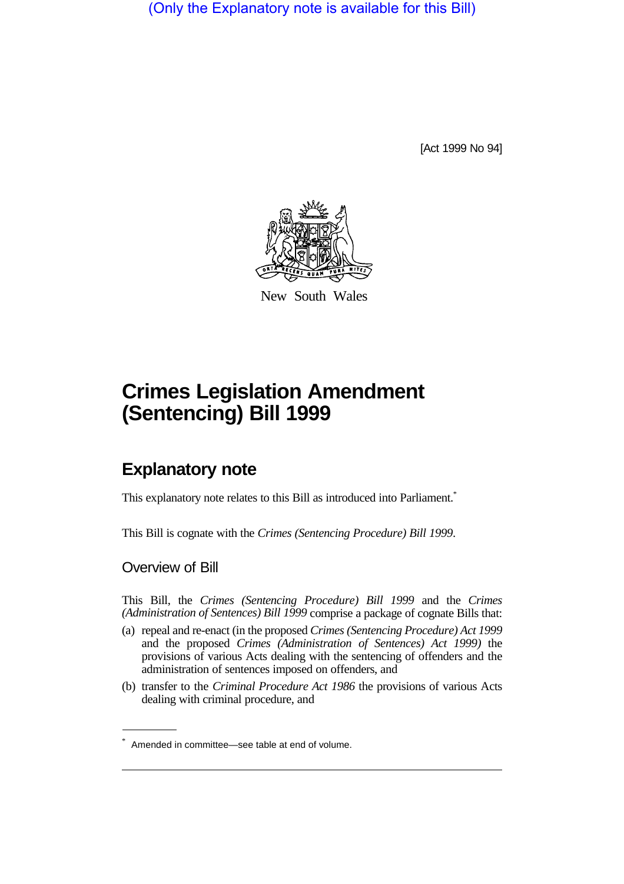(Only the Explanatory note is available for this Bill)

[Act 1999 No 94]



New South Wales

# **Crimes Legislation Amendment (Sentencing) Bill 1999**

# **Explanatory note**

This explanatory note relates to this Bill as introduced into Parliament.<sup>\*</sup>

This Bill is cognate with the *Crimes (Sentencing Procedure) Bill 1999*.

#### Overview of Bill

This Bill, the *Crimes (Sentencing Procedure) Bill 1999* and the *Crimes (Administration of Sentences) Bill 1999* comprise a package of cognate Bills that:

- (a) repeal and re-enact (in the proposed *Crimes (Sentencing Procedure) Act 1999* and the proposed *Crimes (Administration of Sentences) Act 1999)* the provisions of various Acts dealing with the sentencing of offenders and the administration of sentences imposed on offenders, and
- (b) transfer to the *Criminal Procedure Act 1986* the provisions of various Acts dealing with criminal procedure, and

<sup>\*</sup> Amended in committee—see table at end of volume.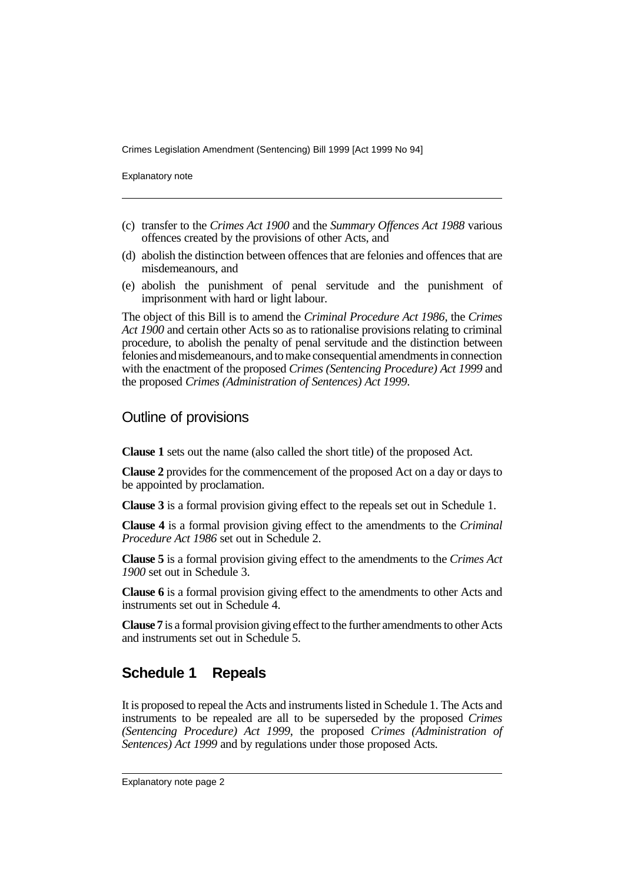Explanatory note

- (c) transfer to the *Crimes Act 1900* and the *Summary Offences Act 1988* various offences created by the provisions of other Acts, and
- (d) abolish the distinction between offences that are felonies and offences that are misdemeanours, and
- (e) abolish the punishment of penal servitude and the punishment of imprisonment with hard or light labour.

The object of this Bill is to amend the *Criminal Procedure Act 1986*, the *Crimes Act 1900* and certain other Acts so as to rationalise provisions relating to criminal procedure, to abolish the penalty of penal servitude and the distinction between felonies and misdemeanours, and to make consequential amendments in connection with the enactment of the proposed *Crimes (Sentencing Procedure) Act 1999* and the proposed *Crimes (Administration of Sentences) Act 1999*.

#### Outline of provisions

**Clause 1** sets out the name (also called the short title) of the proposed Act.

**Clause 2** provides for the commencement of the proposed Act on a day or days to be appointed by proclamation.

**Clause 3** is a formal provision giving effect to the repeals set out in Schedule 1.

**Clause 4** is a formal provision giving effect to the amendments to the *Criminal Procedure Act 1986* set out in Schedule 2.

**Clause 5** is a formal provision giving effect to the amendments to the *Crimes Act 1900* set out in Schedule 3.

**Clause 6** is a formal provision giving effect to the amendments to other Acts and instruments set out in Schedule 4.

**Clause 7** is a formal provision giving effect to the further amendments to other Acts and instruments set out in Schedule 5.

### **Schedule 1 Repeals**

It is proposed to repeal the Acts and instruments listed in Schedule 1. The Acts and instruments to be repealed are all to be superseded by the proposed *Crimes (Sentencing Procedure) Act 1999*, the proposed *Crimes (Administration of Sentences) Act 1999* and by regulations under those proposed Acts.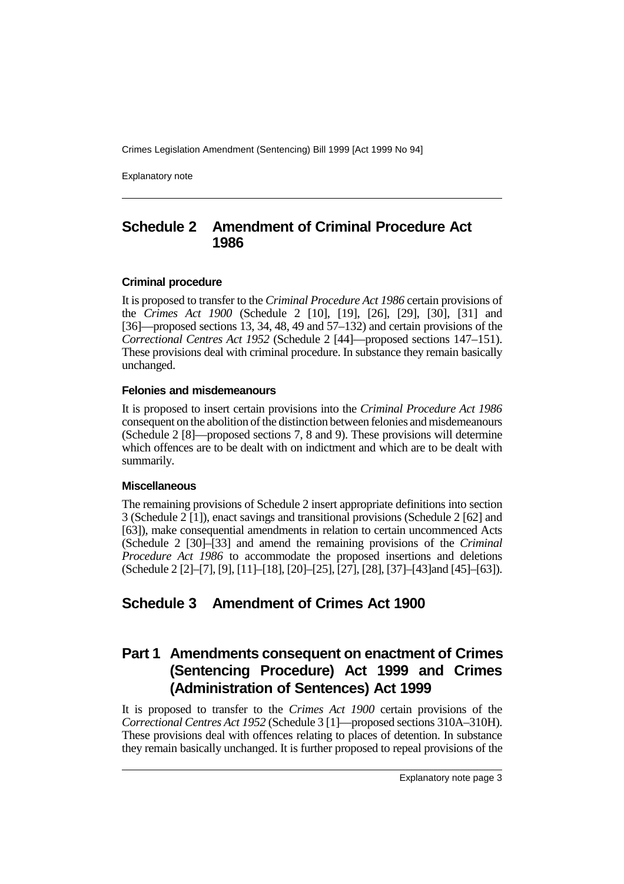Explanatory note

#### **Schedule 2 Amendment of Criminal Procedure Act 1986**

#### **Criminal procedure**

It is proposed to transfer to the *Criminal Procedure Act 1986* certain provisions of the *Crimes Act 1900* (Schedule 2 [10], [19], [26], [29], [30], [31] and [36]—proposed sections 13, 34, 48, 49 and 57–132) and certain provisions of the *Correctional Centres Act 1952* (Schedule 2 [44]—proposed sections 147–151). These provisions deal with criminal procedure. In substance they remain basically unchanged.

#### **Felonies and misdemeanours**

It is proposed to insert certain provisions into the *Criminal Procedure Act 1986* consequent on the abolition of the distinction between felonies and misdemeanours (Schedule 2 [8]—proposed sections 7, 8 and 9). These provisions will determine which offences are to be dealt with on indictment and which are to be dealt with summarily.

#### **Miscellaneous**

The remaining provisions of Schedule 2 insert appropriate definitions into section 3 (Schedule 2 [1]), enact savings and transitional provisions (Schedule 2 [62] and [63]), make consequential amendments in relation to certain uncommenced Acts (Schedule 2 [30]–[33] and amend the remaining provisions of the *Criminal Procedure Act 1986* to accommodate the proposed insertions and deletions (Schedule 2 [2]–[7], [9], [11]–[18], [20]–[25], [27], [28], [37]–[43]and [45]–[63]).

### **Schedule 3 Amendment of Crimes Act 1900**

# **Part 1 Amendments consequent on enactment of Crimes (Sentencing Procedure) Act 1999 and Crimes (Administration of Sentences) Act 1999**

It is proposed to transfer to the *Crimes Act 1900* certain provisions of the *Correctional Centres Act 1952* (Schedule 3 [1]—proposed sections 310A–310H). These provisions deal with offences relating to places of detention. In substance they remain basically unchanged. It is further proposed to repeal provisions of the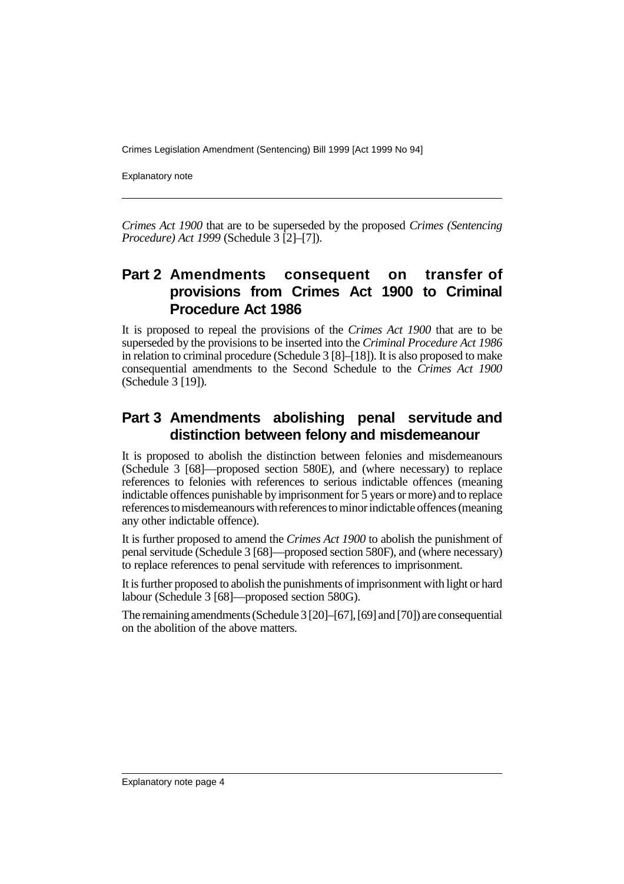Explanatory note

*Crimes Act 1900* that are to be superseded by the proposed *Crimes (Sentencing Procedure) Act 1999* (Schedule 3 [2]–[7]).

# **Part 2 Amendments consequent on transfer of provisions from Crimes Act 1900 to Criminal Procedure Act 1986**

It is proposed to repeal the provisions of the *Crimes Act 1900* that are to be superseded by the provisions to be inserted into the *Criminal Procedure Act 1986* in relation to criminal procedure (Schedule 3 [8]–[18]). It is also proposed to make consequential amendments to the Second Schedule to the *Crimes Act 1900* (Schedule 3 [19]).

# **Part 3 Amendments abolishing penal servitude and distinction between felony and misdemeanour**

It is proposed to abolish the distinction between felonies and misdemeanours (Schedule 3 [68]—proposed section 580E), and (where necessary) to replace references to felonies with references to serious indictable offences (meaning indictable offences punishable by imprisonment for 5 years or more) and to replace references to misdemeanours with references to minor indictable offences (meaning any other indictable offence).

It is further proposed to amend the *Crimes Act 1900* to abolish the punishment of penal servitude (Schedule 3 [68]—proposed section 580F), and (where necessary) to replace references to penal servitude with references to imprisonment.

It is further proposed to abolish the punishments of imprisonment with light or hard labour (Schedule 3 [68]—proposed section 580G).

The remaining amendments (Schedule 3 [20]–[67], [69] and [70]) are consequential on the abolition of the above matters.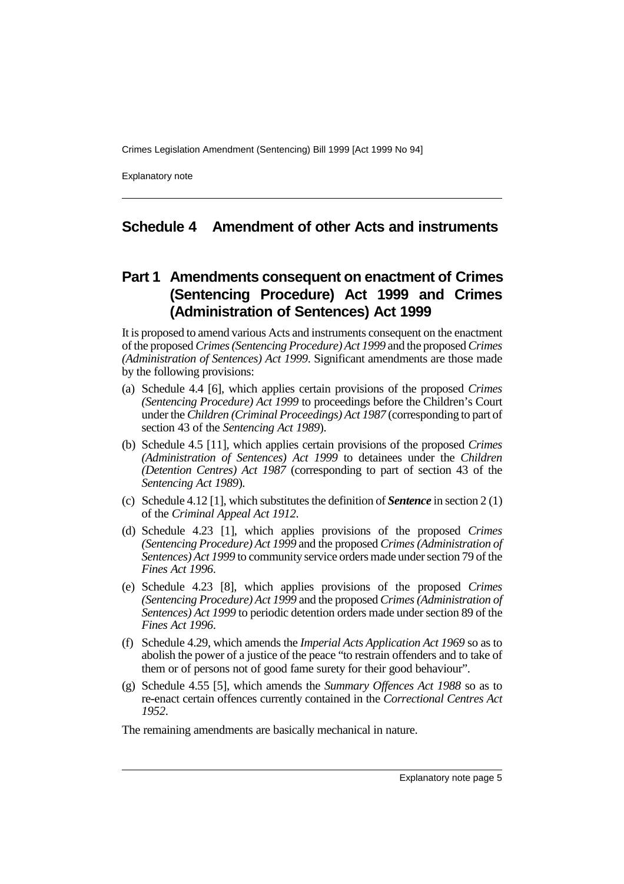Explanatory note

#### **Schedule 4 Amendment of other Acts and instruments**

### **Part 1 Amendments consequent on enactment of Crimes (Sentencing Procedure) Act 1999 and Crimes (Administration of Sentences) Act 1999**

It is proposed to amend various Acts and instruments consequent on the enactment of the proposed *Crimes (Sentencing Procedure) Act 1999* and the proposed *Crimes (Administration of Sentences) Act 1999*. Significant amendments are those made by the following provisions:

- (a) Schedule 4.4 [6], which applies certain provisions of the proposed *Crimes (Sentencing Procedure) Act 1999* to proceedings before the Children's Court under the *Children (Criminal Proceedings) Act 1987* (corresponding to part of section 43 of the *Sentencing Act 1989*).
- (b) Schedule 4.5 [11], which applies certain provisions of the proposed *Crimes (Administration of Sentences) Act 1999* to detainees under the *Children (Detention Centres) Act 1987* (corresponding to part of section 43 of the *Sentencing Act 1989*).
- (c) Schedule 4.12 [1], which substitutes the definition of *Sentence* in section 2 (1) of the *Criminal Appeal Act 1912*.
- (d) Schedule 4.23 [1], which applies provisions of the proposed *Crimes (Sentencing Procedure) Act 1999* and the proposed *Crimes (Administration of Sentences) Act 1999* to community service orders made under section 79 of the *Fines Act 1996*.
- (e) Schedule 4.23 [8], which applies provisions of the proposed *Crimes (Sentencing Procedure) Act 1999* and the proposed *Crimes (Administration of Sentences) Act 1999* to periodic detention orders made under section 89 of the *Fines Act 1996*.
- (f) Schedule 4.29, which amends the *Imperial Acts Application Act 1969* so as to abolish the power of a justice of the peace "to restrain offenders and to take of them or of persons not of good fame surety for their good behaviour".
- (g) Schedule 4.55 [5], which amends the *Summary Offences Act 1988* so as to re-enact certain offences currently contained in the *Correctional Centres Act 1952*.

The remaining amendments are basically mechanical in nature.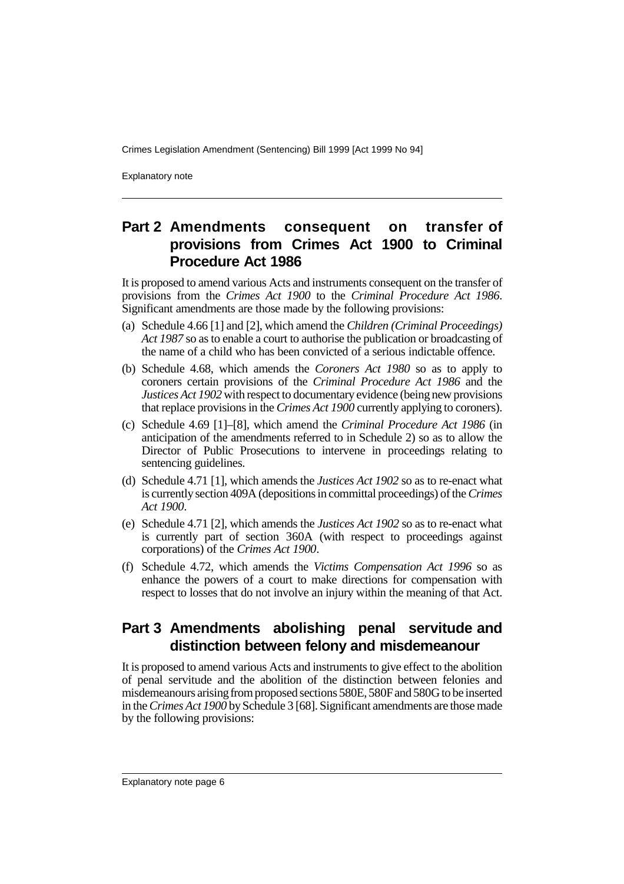Explanatory note

# **Part 2 Amendments consequent on transfer of provisions from Crimes Act 1900 to Criminal Procedure Act 1986**

It is proposed to amend various Acts and instruments consequent on the transfer of provisions from the *Crimes Act 1900* to the *Criminal Procedure Act 1986*. Significant amendments are those made by the following provisions:

- (a) Schedule 4.66 [1] and [2], which amend the *Children (Criminal Proceedings) Act 1987* so as to enable a court to authorise the publication or broadcasting of the name of a child who has been convicted of a serious indictable offence.
- (b) Schedule 4.68, which amends the *Coroners Act 1980* so as to apply to coroners certain provisions of the *Criminal Procedure Act 1986* and the *Justices Act 1902* with respect to documentary evidence (being new provisions that replace provisions in the *Crimes Act 1900* currently applying to coroners).
- (c) Schedule 4.69 [1]–[8], which amend the *Criminal Procedure Act 1986* (in anticipation of the amendments referred to in Schedule 2) so as to allow the Director of Public Prosecutions to intervene in proceedings relating to sentencing guidelines.
- (d) Schedule 4.71 [1], which amends the *Justices Act 1902* so as to re-enact what is currently section 409A (depositions in committal proceedings) of the *Crimes Act 1900*.
- (e) Schedule 4.71 [2], which amends the *Justices Act 1902* so as to re-enact what is currently part of section 360A (with respect to proceedings against corporations) of the *Crimes Act 1900*.
- (f) Schedule 4.72, which amends the *Victims Compensation Act 1996* so as enhance the powers of a court to make directions for compensation with respect to losses that do not involve an injury within the meaning of that Act.

### **Part 3 Amendments abolishing penal servitude and distinction between felony and misdemeanour**

It is proposed to amend various Acts and instruments to give effect to the abolition of penal servitude and the abolition of the distinction between felonies and misdemeanours arising from proposed sections 580E, 580F and 580G to be inserted in the *Crimes Act 1900* by Schedule 3 [68]. Significant amendments are those made by the following provisions: